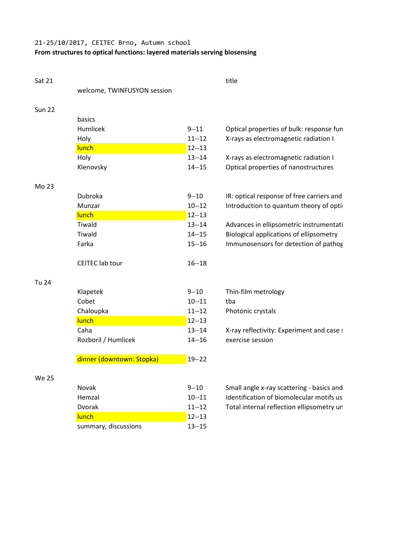# 21-25/10/2017, CEITEC Brno, Autumn school **From structures to optical functions: layered materials serving biosensing**

#### Sat 21 title

## welcome, TWINFUSYON session

## Sun 22

| basics       |           |                                       |
|--------------|-----------|---------------------------------------|
| Humlicek     | $9 - 11$  | Optical properties of bulk: response  |
| Holy         | $11 - 12$ | X-rays as electromagnetic radiation I |
| <b>lunch</b> | $12 - 13$ |                                       |
| Holy         | $13 - 14$ | X-rays as electromagnetic radiation I |
| Klenovsky    | $14 - 15$ | Optical properties of nanostructures  |
|              |           |                                       |

# Mo 23

| Dubroka                | $9 - 10$  | IR: optical response of free carriers and |
|------------------------|-----------|-------------------------------------------|
| Munzar                 | $10 - 12$ | Introduction to quantum theory of opti-   |
| <b>lunch</b>           | $12 - 13$ |                                           |
| Tiwald                 | $13 - 14$ | Advances in ellipsometric instrumentati   |
| Tiwald                 | $14 - 15$ | Biological applications of ellipsometry   |
| Farka                  | $15 - 16$ | Immunosensors for detection of pathog     |
|                        |           |                                           |
| <b>CEITEC</b> lab tour | $16 - 18$ |                                           |

#### Tu 24

| Klapetek                  | $9 - 10$  | Thin-film metrology    |
|---------------------------|-----------|------------------------|
| Cobet                     | $10 - 11$ | tba                    |
| Chaloupka                 | $11 - 12$ | Photonic crystals      |
| <b>lunch</b>              | $12 - 13$ |                        |
| Caha                      | $13 - 14$ | X-ray reflectivity: Ex |
| Rozboril / Humlicek       | $14 - 16$ | exercise session       |
|                           |           |                        |
| dinner (downtown: Stopka) | $19 - 22$ |                        |

## We 25

| Novak                | $9 - 10$  | Small angle x-ray scattering - basics and |
|----------------------|-----------|-------------------------------------------|
| Hemzal               | $10 - 11$ | Identification of biomolecular motifs us  |
| Dvorak               | $11 - 12$ | Total internal reflection ellipsometry ur |
| <b>lunch</b>         | $12 - 13$ |                                           |
| summary, discussions | $13 - 15$ |                                           |

| Humlicek | $9 - 11$  | Optical properties of bulk: response fun |
|----------|-----------|------------------------------------------|
| Holv     | $11 - 12$ | X-rays as electromagnetic radiation I    |
| lunch    | $12 - 13$ |                                          |

| IR: optical response of free carriers and |
|-------------------------------------------|
| Introduction to quantum theory of opti-   |

| Klapetek            | $9 - 10$  | Thin-film metrology                       |
|---------------------|-----------|-------------------------------------------|
| Cobet               | $10 - 11$ | tba                                       |
| Chaloupka           | $11 - 12$ | Photonic crystals                         |
| <u>lunch</u>        | $12 - 13$ |                                           |
| Caha                | $13 - 14$ | X-ray reflectivity: Experiment and case : |
| Rozboril / Humlicek | $14 - 16$ | exercise session                          |

| Novak  | $9 - 10$  | Small angle x-ray scattering - basics and |
|--------|-----------|-------------------------------------------|
| Hemzal | $10 - 11$ | Identification of biomolecular motifs us  |
| Dvorak | 11--12    | Total internal reflection ellipsometry ur |